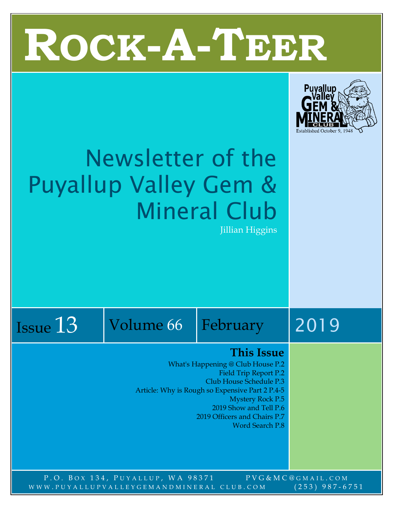



## Newsletter of the Puyallup Valley Gem & Mineral Club

Jillian Higgins

Issue 13 Volume 66 February 2019

#### **This Issue**

What's Happening @ Club House P.2 Field Trip Report P.2 Club House Schedule P.3 Article: Why is Rough so Expensive Part 2 P.4-5 Mystery Rock P.5 2019 Show and Tell P.6 2019 Officers and Chairs P.7

Word Search P.8

P.O. BOX 134, PUYALLUP, WA 98371 PVG&MC@GMAIL.COM WWW.PUYALLUPVALLEYGEMANDMINERAL CLUB.COM (253) 987-6751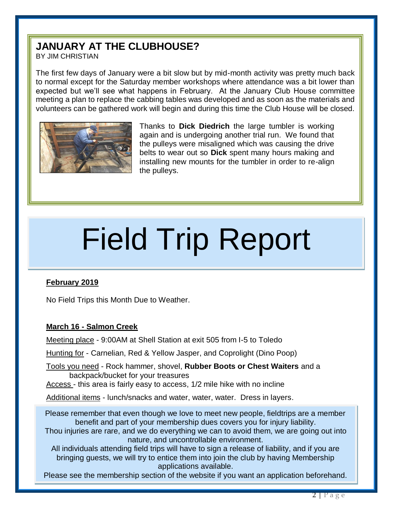### **JANUARY AT THE CLUBHOUSE?**

BY JIM CHRISTIAN

The first few days of January were a bit slow but by mid-month activity was pretty much back to normal except for the Saturday member workshops where attendance was a bit lower than expected but we'll see what happens in February. At the January Club House committee meeting a plan to replace the cabbing tables was developed and as soon as the materials and volunteers can be gathered work will begin and during this time the Club House will be closed.



Thanks to **Dick Diedrich** the large tumbler is working again and is undergoing another trial run. We found that the pulleys were misaligned which was causing the drive belts to wear out so **Dick** spent many hours making and installing new mounts for the tumbler in order to re-align the pulleys.

# Field Trip Report

#### **February 2019**

No Field Trips this Month Due to Weather.

#### **March 16 - Salmon Creek**

Meeting place - 9:00AM at Shell Station at exit 505 from I-5 to Toledo

Hunting for - Carnelian, Red & Yellow Jasper, and Coprolight (Dino Poop)

Tools you need - Rock hammer, shovel, **Rubber Boots or Chest Waiters** and a backpack/bucket for your treasures

Access - this area is fairly easy to access, 1/2 mile hike with no incline

Additional items - lunch/snacks and water, water, water. Dress in layers.

Please remember that even though we love to meet new people, fieldtrips are a member benefit and part of your membership dues covers you for injury liability.

Thou injuries are rare, and we do everything we can to avoid them, we are going out into nature, and uncontrollable environment.

All individuals attending field trips will have to sign a release of liability, and if you are bringing guests, we will try to entice them into join the club by having Membership applications available.

Please see the membership section of the website if you want an application beforehand.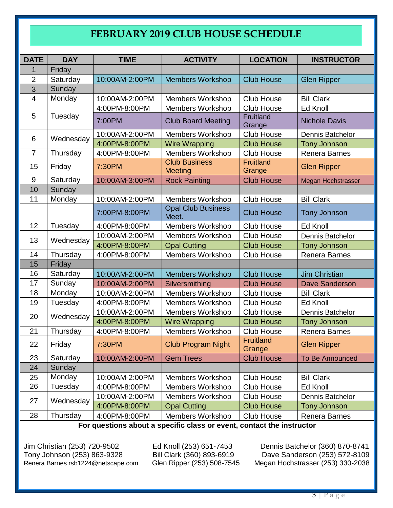#### **FEBRUARY 2019 CLUB HOUSE SCHEDULE**

| <b>DATE</b>    | <b>DAY</b> | <b>TIME</b>    | <b>ACTIVITY</b>                        | <b>LOCATION</b>                    | <b>INSTRUCTOR</b>         |  |  |  |
|----------------|------------|----------------|----------------------------------------|------------------------------------|---------------------------|--|--|--|
| 1              | Friday     |                |                                        |                                    |                           |  |  |  |
| 2              | Saturday   | 10:00AM-2:00PM | <b>Members Workshop</b>                | <b>Club House</b>                  | <b>Glen Ripper</b>        |  |  |  |
| 3              | Sunday     |                |                                        |                                    |                           |  |  |  |
| $\overline{4}$ | Monday     | 10:00AM-2:00PM | <b>Members Workshop</b>                | Club House                         | <b>Bill Clark</b>         |  |  |  |
|                |            | 4:00PM-8:00PM  | <b>Members Workshop</b>                | <b>Club House</b>                  | Ed Knoll                  |  |  |  |
| 5              | Tuesday    | 7:00PM         | <b>Club Board Meeting</b>              | Fruitland<br>Grange                | <b>Nichole Davis</b>      |  |  |  |
| 6              | Wednesday  | 10:00AM-2:00PM | <b>Members Workshop</b>                | <b>Club House</b>                  | Dennis Batchelor          |  |  |  |
|                |            | 4:00PM-8:00PM  | <b>Wire Wrapping</b>                   | <b>Club House</b>                  | <b>Tony Johnson</b>       |  |  |  |
| $\overline{7}$ | Thursday   | 4:00PM-8:00PM  | <b>Members Workshop</b>                | <b>Club House</b><br>Renera Barnes |                           |  |  |  |
| 15             | Friday     | 7:30PM         | <b>Club Business</b><br><b>Meeting</b> | <b>Fruitland</b><br>Grange         | <b>Glen Ripper</b>        |  |  |  |
| 9              | Saturday   | 10:00AM-3:00PM | <b>Rock Painting</b>                   | <b>Club House</b>                  | <b>Megan Hochstrasser</b> |  |  |  |
| 10             | Sunday     |                |                                        |                                    |                           |  |  |  |
| 11             | Monday     | 10:00AM-2:00PM | <b>Members Workshop</b>                | <b>Club House</b>                  | <b>Bill Clark</b>         |  |  |  |
|                |            | 7:00PM-8:00PM  | <b>Opal Club Business</b><br>Meet.     | <b>Club House</b>                  | <b>Tony Johnson</b>       |  |  |  |
| 12             | Tuesday    | 4:00PM-8:00PM  | <b>Members Workshop</b>                | <b>Club House</b>                  | <b>Ed Knoll</b>           |  |  |  |
| 13             | Wednesday  | 10:00AM-2:00PM | Members Workshop                       | <b>Club House</b>                  | <b>Dennis Batchelor</b>   |  |  |  |
|                |            | 4:00PM-8:00PM  | <b>Opal Cutting</b>                    | <b>Club House</b>                  | <b>Tony Johnson</b>       |  |  |  |
| 14             | Thursday   | 4:00PM-8:00PM  | <b>Members Workshop</b>                | <b>Club House</b>                  | Renera Barnes             |  |  |  |
| 15             | Friday     |                |                                        |                                    |                           |  |  |  |
| 16             | Saturday   | 10:00AM-2:00PM | <b>Members Workshop</b>                | <b>Club House</b>                  | <b>Jim Christian</b>      |  |  |  |
| 17             | Sunday     | 10:00AM-2:00PM | Silversmithing                         | <b>Club House</b>                  | <b>Dave Sanderson</b>     |  |  |  |
| 18             | Monday     | 10:00AM-2:00PM | <b>Members Workshop</b>                | <b>Club House</b>                  | <b>Bill Clark</b>         |  |  |  |
| 19             | Tuesday    | 4:00PM-8:00PM  | <b>Members Workshop</b>                | <b>Club House</b>                  | Ed Knoll                  |  |  |  |
| 20             | Wednesday  | 10:00AM-2:00PM | <b>Members Workshop</b>                | <b>Club House</b>                  | Dennis Batchelor          |  |  |  |
|                |            | 4:00PM-8:00PM  | <b>Wire Wrapping</b>                   | <b>Club House</b>                  | <b>Tony Johnson</b>       |  |  |  |
| 21             | Thursday   | 4:00PM-8:00PM  | <b>Members Workshop</b>                | <b>Club House</b>                  | <b>Renera Barnes</b>      |  |  |  |
| 22             | Friday     | 7:30PM         | <b>Club Program Night</b>              | <b>Fruitland</b><br>Grange         | <b>Glen Ripper</b>        |  |  |  |
| 23             | Saturday   | 10:00AM-2:00PM | <b>Gem Trees</b>                       | <b>Club House</b>                  | To Be Announced           |  |  |  |
| 24             | Sunday     |                |                                        |                                    |                           |  |  |  |
| 25             | Monday     | 10:00AM-2:00PM | <b>Members Workshop</b>                | Club House                         | <b>Bill Clark</b>         |  |  |  |
| 26             | Tuesday    | 4:00PM-8:00PM  | <b>Members Workshop</b>                | <b>Club House</b>                  | Ed Knoll                  |  |  |  |
|                | Wednesday  | 10:00AM-2:00PM | <b>Members Workshop</b>                | Club House                         | Dennis Batchelor          |  |  |  |
| 27             |            | 4:00PM-8:00PM  | <b>Opal Cutting</b>                    | <b>Club House</b>                  | <b>Tony Johnson</b>       |  |  |  |
| 28             | Thursday   | 4:00PM-8:00PM  | <b>Members Workshop</b>                | Club House                         | Renera Barnes             |  |  |  |

**For questions about a specific class or event, contact the instructor**

Renera Barnes [rsb1224@netscape.com](mailto:rsb1224@netscape.com)

Jim Christian (253) 720-9502 Ed Knoll (253) 651-7453 Dennis Batchelor (360) 870-8741 Tony Johnson (253) 863-9328 Bill Clark (360) 893-6919 Dave Sanderson (253) 572-8109<br>Renera Barnes rsb1224@netscape.com Glen Ripper (253) 508-7545 Megan Hochstrasser (253) 330-2038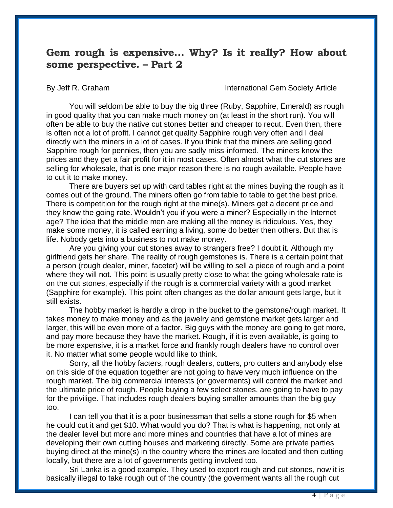#### **Gem rough is expensive… Why? Is it really? How about some perspective. – Part 2**

By Jeff R. Graham **International Gem Society Article** 

You will seldom be able to buy the big three [\(Ruby,](http://www.gemsociety.org/article/ruby-jewelry-and-gemstone-information/) Sapphire, [Emerald\)](http://www.gemsociety.org/article/emerald-jewelry-and-gemstone-information/) as rough in good quality that you can make much money on (at least in the short run). You will often be able to buy the native cut stones better and cheaper to recut. Even then, there is often not a lot of profit. I cannot get quality Sapphire rough very often and I deal directly with the miners in a lot of cases. If you think that the miners are selling good Sapphire rough for pennies, then you are sadly miss-informed. The miners know the prices and they get a fair profit for it in most cases. Often almost what the cut stones are selling for wholesale, that is one major reason there is no rough available. People have to cut it to make money.

There are buyers set up with card tables right at the mines buying the rough as it comes out of the ground. The miners often go from table to table to get the best price. There is competition for the rough right at the mine(s). Miners get a decent price and they know the going rate. Wouldn't you if you were a miner? Especially in the Internet age? The idea that the middle men are making all the money is ridiculous. Yes, they make some money, it is called earning a living, some do better then others. But that is life. Nobody gets into a business to not make money.

Are you giving your cut stones away to strangers free? I doubt it. Although my girlfriend gets her share. The reality of rough gemstones is. There is a certain point that a person (rough dealer, miner, faceter) will be willing to sell a piece of rough and a point where they will not. This point is usually pretty close to what the going wholesale rate is on the cut stones, especially if the rough is a commercial variety with a good market (Sapphire for example). This point often changes as the dollar amount gets large, but it still exists.

The hobby market is hardly a drop in the bucket to the gemstone/rough market. It takes money to make money and as the jewelry and gemstone market gets larger and larger, this will be even more of a factor. Big guys with the money are going to get more, and pay more because they have the market. Rough, if it is even available, is going to be more expensive, it is a market force and frankly rough dealers have no control over it. No matter what some people would like to think.

Sorry, all the hobby facters, rough dealers, cutters, pro cutters and anybody else on this side of the equation together are not going to have very much influence on the rough market. The big commercial interests (or goverments) will control the market and the ultimate price of rough. People buying a few select stones, are going to have to pay for the privilige. That includes rough dealers buying smaller amounts than the big guy too.

I can tell you that it is a poor businessman that sells a stone rough for \$5 when he could cut it and get \$10. What would you do? That is what is happening, not only at the dealer level but more and more mines and countries that have a lot of mines are developing their own cutting houses and marketing directly. Some are private parties buying direct at the mine(s) in the country where the mines are located and then cutting locally, but there are a lot of governments getting involved too.

Sri Lanka is a good example. They used to export rough and cut stones, now it is basically illegal to take rough out of the country (the goverment wants all the rough cut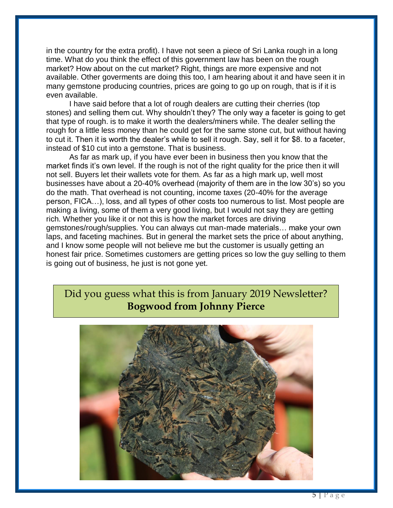in the country for the extra profit). I have not seen a piece of Sri Lanka rough in a long time. What do you think the effect of this government law has been on the rough market? How about on the cut market? Right, things are more expensive and not available. Other goverments are doing this too, I am hearing about it and have seen it in many gemstone producing countries, prices are going to go up on rough, that is if it is even available.

I have said before that a lot of rough dealers are cutting their cherries (top stones) and selling them cut. Why shouldn't they? The only way a faceter is going to get that type of rough. is to make it worth the dealers/miners while. The dealer selling the rough for a little less money than he could get for the same stone cut, but without having to cut it. Then it is worth the dealer's while to sell it rough. Say, sell it for \$8. to a faceter, instead of \$10 cut into a gemstone. That is business.

As far as mark up, if you have ever been in business then you know that the market finds it's own level. If the rough is not of the right quality for the price then it will not sell. Buyers let their wallets vote for them. As far as a high mark up, well most businesses have about a 20-40% overhead (majority of them are in the low 30's) so you do the math. That overhead is not counting, income taxes (20-40% for the average person, FICA…), loss, and all types of other costs too numerous to list. Most people are making a living, some of them a very good living, but I would not say they are getting rich. Whether you like it or not this is how the market forces are driving gemstones/rough/supplies. You can always cut man-made materials… make your own laps, and faceting machines. But in general the market sets the price of about anything, and I know some people will not believe me but the customer is usually getting an honest fair price. Sometimes customers are getting prices so low the guy selling to them is going out of business, he just is not gone yet.

#### Did you guess what this is from January 2019 Newsletter? **Bogwood from Johnny Pierce**

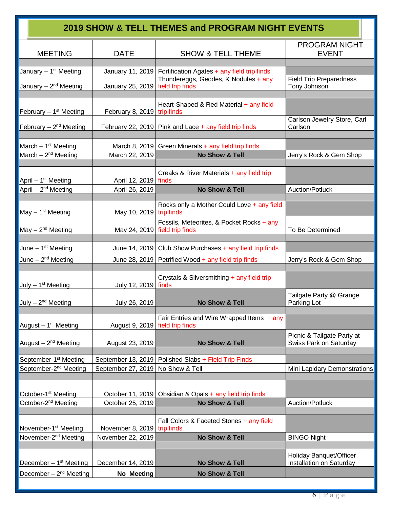| 2019 SHOW & TELL THEMES and PROGRAM NIGHT EVENTS                     |                                                    |                                                                |                                                            |  |  |  |  |  |
|----------------------------------------------------------------------|----------------------------------------------------|----------------------------------------------------------------|------------------------------------------------------------|--|--|--|--|--|
| <b>MEETING</b>                                                       | <b>DATE</b>                                        | <b>SHOW &amp; TELL THEME</b>                                   | <b>PROGRAM NIGHT</b><br><b>EVENT</b>                       |  |  |  |  |  |
| January - 1 <sup>st</sup> Meeting                                    |                                                    | January 11, 2019   Fortification Agates + any field trip finds |                                                            |  |  |  |  |  |
| January $-2nd$ Meeting                                               | January 25, 2019   field trip finds                | Thundereggs, Geodes, & Nodules + any                           | <b>Field Trip Preparedness</b><br>Tony Johnson             |  |  |  |  |  |
| February $-1st$ Meeting                                              | February 8, 2019 trip finds                        | Heart-Shaped & Red Material + any field                        |                                                            |  |  |  |  |  |
| February - 2 <sup>nd</sup> Meeting                                   |                                                    | February 22, 2019 Pink and Lace + any field trip finds         | Carlson Jewelry Store, Carl<br>Carlson                     |  |  |  |  |  |
| March $-1st$ Meeting                                                 |                                                    | March 8, 2019 Green Minerals + any field trip finds            |                                                            |  |  |  |  |  |
| March $-2^{nd}$ Meeting                                              | March 22, 2019                                     | No Show & Tell                                                 | Jerry's Rock & Gem Shop                                    |  |  |  |  |  |
| April - 1 <sup>st</sup> Meeting                                      | April 12, 2019   finds                             | Creaks & River Materials + any field trip                      |                                                            |  |  |  |  |  |
| April $-2^{nd}$ Meeting                                              | April 26, 2019                                     | No Show & Tell                                                 | Auction/Potluck                                            |  |  |  |  |  |
|                                                                      |                                                    |                                                                |                                                            |  |  |  |  |  |
| May $-1st$ Meeting                                                   | May 10, 2019 trip finds                            | Rocks only a Mother Could Love + any field                     |                                                            |  |  |  |  |  |
| $May - 2nd Meeting$                                                  | May 24, 2019 field trip finds                      | Fossils, Meteorites, & Pocket Rocks + any                      | To Be Determined                                           |  |  |  |  |  |
| June - 1 <sup>st</sup> Meeting                                       |                                                    | June 14, 2019 Club Show Purchases $+$ any field trip finds     |                                                            |  |  |  |  |  |
| June - 2 <sup>nd</sup> Meeting                                       |                                                    | June 28, 2019   Petrified Wood + any field trip finds          | Jerry's Rock & Gem Shop                                    |  |  |  |  |  |
|                                                                      |                                                    |                                                                |                                                            |  |  |  |  |  |
| July $-1st$ Meeting                                                  | July 12, 2019   finds                              | Crystals & Silversmithing + any field trip                     |                                                            |  |  |  |  |  |
| July - 2 <sup>nd</sup> Meeting                                       | July 26, 2019                                      | No Show & Tell                                                 | Tailgate Party @ Grange<br>Parking Lot                     |  |  |  |  |  |
| August - 1 <sup>st</sup> Meeting                                     | August 9, 2019   field trip finds                  | Fair Entries and Wire Wrapped Items $+$ any                    |                                                            |  |  |  |  |  |
| August - 2 <sup>nd</sup> Meeting                                     | August 23, 2019                                    | No Show & Tell                                                 | Picnic & Tailgate Party at<br>Swiss Park on Saturday       |  |  |  |  |  |
| September-1 <sup>st</sup> Meeting                                    |                                                    | September 13, 2019   Polished Slabs + Field Trip Finds         |                                                            |  |  |  |  |  |
| September-2 <sup>nd</sup> Meeting                                    | September 27, 2019                                 | No Show & Tell                                                 | Mini Lapidary Demonstrations                               |  |  |  |  |  |
|                                                                      |                                                    |                                                                |                                                            |  |  |  |  |  |
| October-1 <sup>st</sup> Meeting                                      |                                                    | October 11, 2019   Obsidian & Opals + any field trip finds     |                                                            |  |  |  |  |  |
| October-2 <sup>nd</sup> Meeting                                      | October 25, 2019                                   | No Show & Tell                                                 | Auction/Potluck                                            |  |  |  |  |  |
|                                                                      |                                                    |                                                                |                                                            |  |  |  |  |  |
|                                                                      |                                                    | Fall Colors & Faceted Stones + any field                       |                                                            |  |  |  |  |  |
| November-1 <sup>st</sup> Meeting<br>November-2 <sup>nd</sup> Meeting | November 8, 2019   trip finds<br>November 22, 2019 | No Show & Tell                                                 | <b>BINGO Night</b>                                         |  |  |  |  |  |
|                                                                      |                                                    |                                                                |                                                            |  |  |  |  |  |
| December $-1st$ Meeting                                              | December 14, 2019                                  | No Show & Tell                                                 | <b>Holiday Banquet/Officer</b><br>Installation on Saturday |  |  |  |  |  |
| December $-2nd$ Meeting                                              | No Meeting                                         | No Show & Tell                                                 |                                                            |  |  |  |  |  |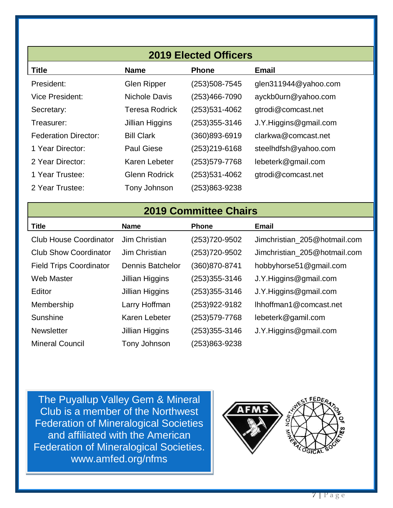| <b>2019 Elected Officers</b> |                       |                  |                       |  |  |  |  |  |  |  |
|------------------------------|-----------------------|------------------|-----------------------|--|--|--|--|--|--|--|
| <b>Title</b>                 | <b>Name</b>           | <b>Phone</b>     | <b>Email</b>          |  |  |  |  |  |  |  |
| President:                   | <b>Glen Ripper</b>    | (253) 508 - 7545 | glen311944@yahoo.com  |  |  |  |  |  |  |  |
| <b>Vice President:</b>       | Nichole Davis         | (253)466-7090    | ayckb0urn@yahoo.com   |  |  |  |  |  |  |  |
| Secretary:                   | <b>Teresa Rodrick</b> | (253)531-4062    | gtrodi@comcast.net    |  |  |  |  |  |  |  |
| Treasurer:                   | Jillian Higgins       | (253)355-3146    | J.Y.Higgins@gmail.com |  |  |  |  |  |  |  |
| <b>Federation Director:</b>  | <b>Bill Clark</b>     | (360)893-6919    | clarkwa@comcast.net   |  |  |  |  |  |  |  |
| 1 Year Director:             | <b>Paul Giese</b>     | (253)219-6168    | steelhdfsh@yahoo.com  |  |  |  |  |  |  |  |
| 2 Year Director:             | Karen Lebeter         | (253)579-7768    | lebeterk@gmail.com    |  |  |  |  |  |  |  |
| 1 Year Trustee:              | <b>Glenn Rodrick</b>  | (253)531-4062    | gtrodi@comcast.net    |  |  |  |  |  |  |  |
| 2 Year Trustee:              | Tony Johnson          | (253)863-9238    |                       |  |  |  |  |  |  |  |

#### **2019 Committee Chairs**

| <b>Title</b>                   | <b>Name</b>             | <b>Phone</b>  | <b>Email</b>                 |
|--------------------------------|-------------------------|---------------|------------------------------|
| <b>Club House Coordinator</b>  | Jim Christian           | (253)720-9502 | Jimchristian_205@hotmail.com |
| <b>Club Show Coordinator</b>   | Jim Christian           | (253)720-9502 | Jimchristian_205@hotmail.com |
| <b>Field Trips Coordinator</b> | <b>Dennis Batchelor</b> | (360)870-8741 | hobbyhorse51@gmail.com       |
| <b>Web Master</b>              | Jillian Higgins         | (253)355-3146 | J.Y.Higgins@gmail.com        |
| Editor                         | Jillian Higgins         | (253)355-3146 | J.Y.Higgins@gmail.com        |
| Membership                     | Larry Hoffman           | (253)922-9182 | Ihhoffman1@comcast.net       |
| Sunshine                       | Karen Lebeter           | (253)579-7768 | lebeterk@gamil.com           |
| <b>Newsletter</b>              | Jillian Higgins         | (253)355-3146 | J.Y.Higgins@gmail.com        |
| <b>Mineral Council</b>         | Tony Johnson            | (253)863-9238 |                              |

Federation of Mineralogical Societies. The Puyallup Valley Gem & Mineral Club is a member of the Northwest Federation of Mineralogical Societies and affiliated with the American www.amfed.org/nfms